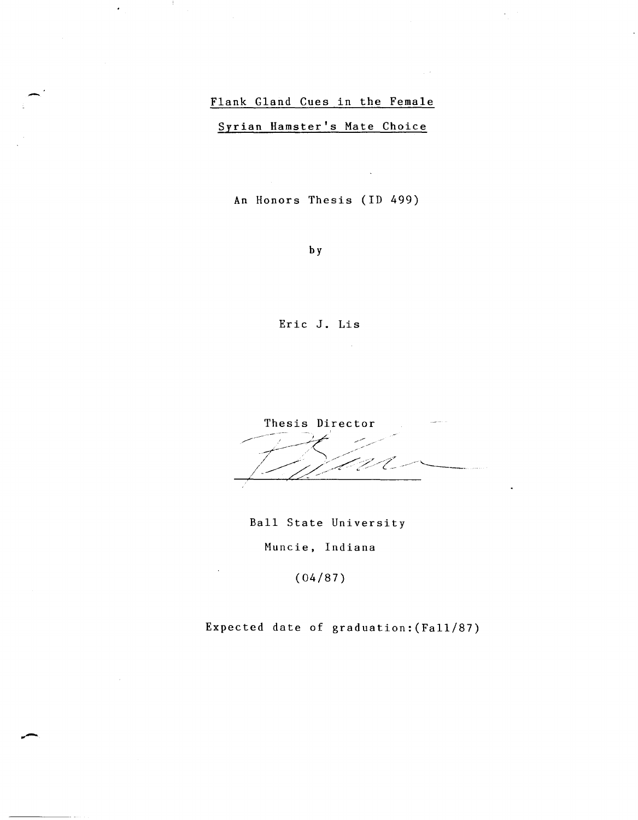# Flank Gland Cues in the Female

 $\hat{\boldsymbol{\cdot}$ 

Syrian Hamster's Mate Choice

An Honors Thesis (ID 499)

by

Eric J. Lis

Thesis Director Ű.

Ball State University Huncie, Indiana

(04/87)

Expected date of graduation:(Fall/87)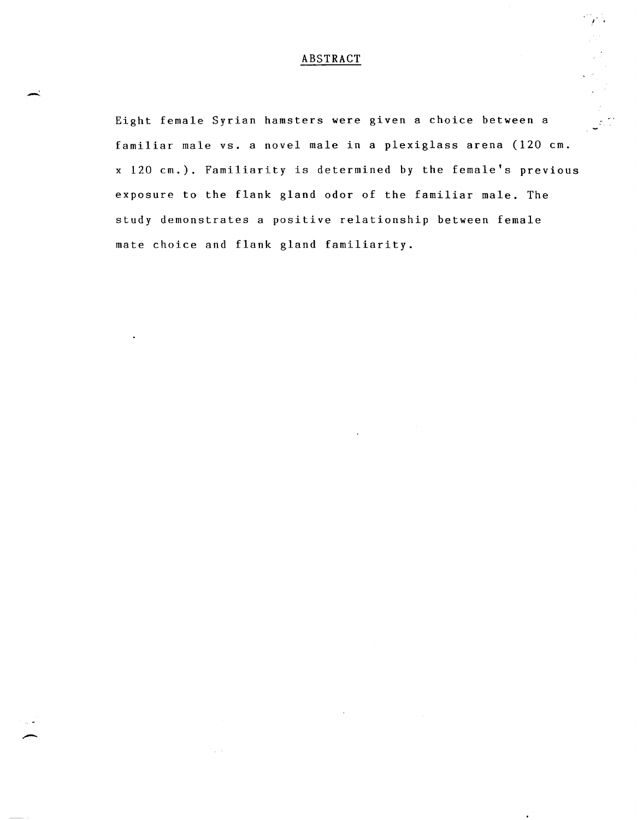### ABSTRACT

 $\mathcal{F} \times \mathcal{F}$ 

Eight female Syrian hamsters were given a choice between a familiar male vs. a novel male in a plexiglass arena (120 cm. x 120 cm.). Familiarity is determined by the female's previous exposure to the flank gland odor of the familiar male. The study demonstrates a positive relationship between female mate choice and flank gland familiarity.

- 1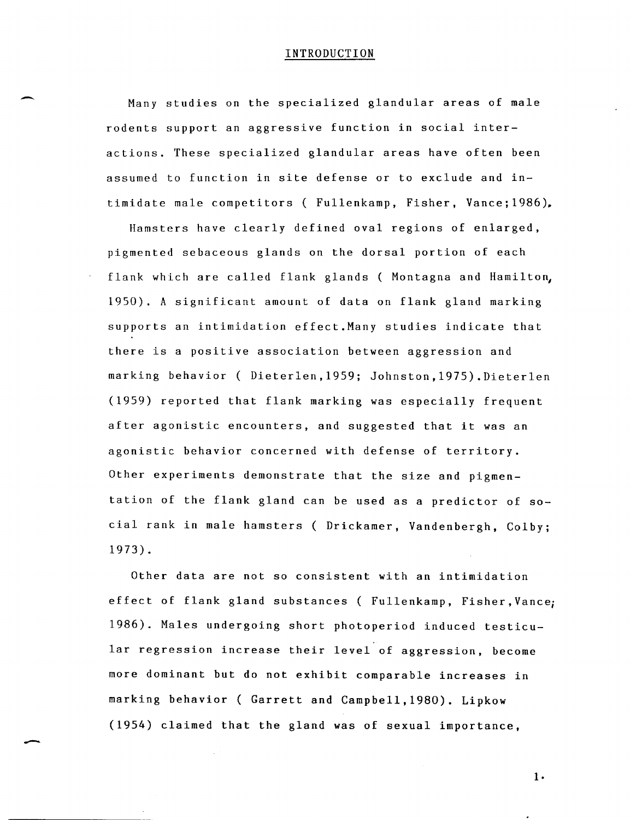#### INTRODUCTION

 $\overline{\phantom{0}}$ 

-

Many studies on the specialized glandular areas of male rodents support an aggressive function in social interactions. These specialized glandular areas have often been assumed to function in site defense or to exclude and intimidate male competitors ( Fullenkamp, Fisher, Vance; 1986),

Hamsters have clearly defined oval regions of enlarged, pigmented sebaceous glands on the dorsal portion of each flank which are called flank glands ( Montagna and Hamilton, 1950). A significant amount of data on flank gland marking supports an intimidation effect.Many studies indicate that there is a positive association between aggression and marking behavior ( Dieterlen,1959; Johnston,1975).Dieterlen (1959) reported that flank marking was especially frequent after agonistic encounters, and suggested that it was an agonistic behavior concerned with defense of territory. Other experiments demonstrate that the size and pigmentation of the flank gland can be used as a predictor of social rank in male hamsters ( Drickamer, Vandenbergh, Colby; 1973).

Other data are not so consistent with an intimidation effect of flank gland substances ( Fullenkamp, Fisher,Vance; 1986). Males undergoing short photoperiod induced testicular regression increase their level of aggression, become more dominant but do not exhibit comparable increases in marking behavior ( Garrett and Campbell,1980). Lipkow (1954) claimed that the gland was of sexual importance,

**1·**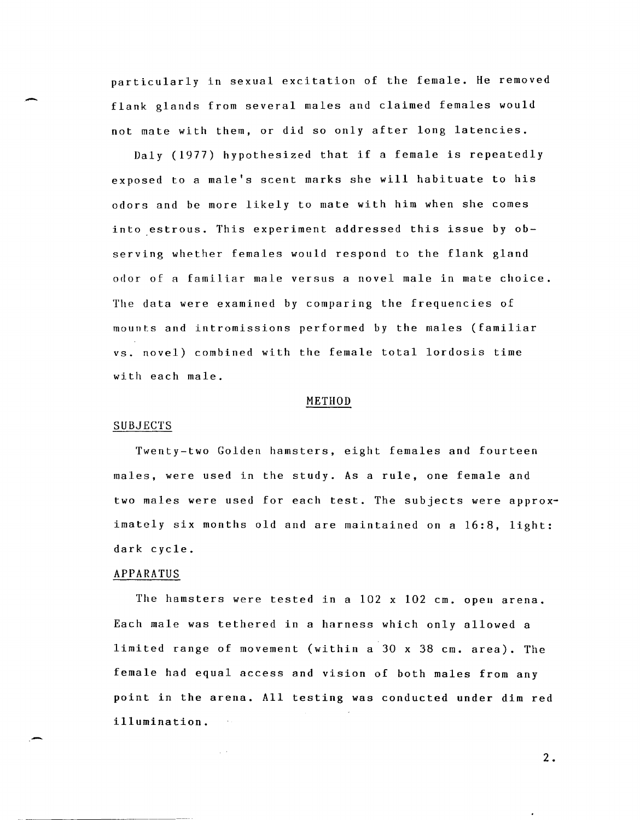particularly in sexual excitation of the female. He removed flank glands from several males and claimed females would not mate with them, or did so only after long latencies.

Daly (1977) hypothesized that if a female is repeatedly exposed to a male's scent marks she will habituate to his odors and be more likely to mate with him when she comes into estrous. This experiment addressed this issue by observing whether females would respond to the flank gland odor of a familiar male versus a novel male in mate choice. The data were examined by comparing the frequencies of mounts and intromissions performed by the males (familiar vs. novel) combined with the female total lordosis time with each male.

#### METHOD

#### SUBJECTS

Twenty-two Golden hamsters, eight females and fourteen males, were used in the study. As a rule, one female and two males were used for each test. The subjects were approximately six months old and are maintained on a 16:8, light: dark cycle.

#### APPARATUS

 $\sim$ 

The hamsters were tested in a  $102$  x  $102$  cm. open arena. Each male was tethered in a harness which only allowed a limited range of movement (within a 30 x 38 cm. area). The female had equal access and vision of both males from any point in the arena. All testing was conducted under dim red illumination.

2 •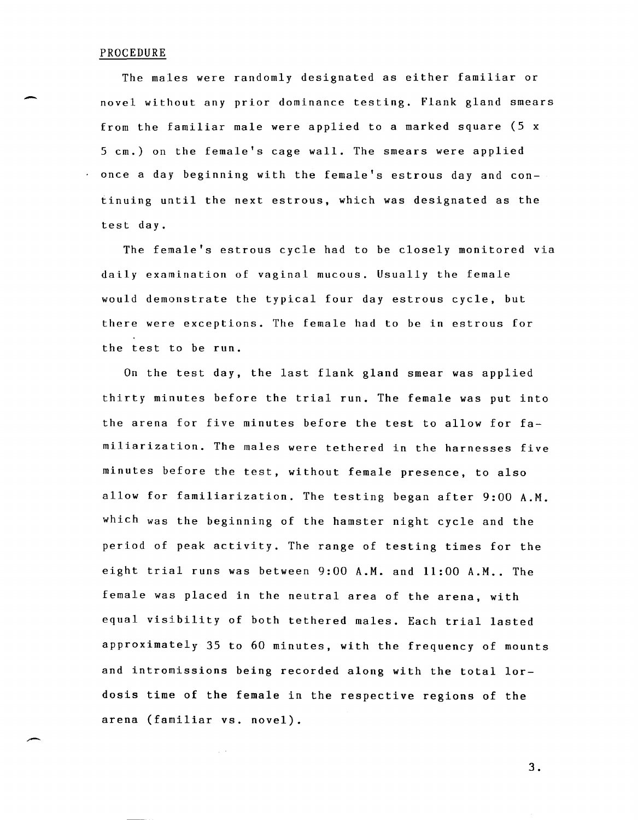#### PROCEDURE

The males were randomly designated as either familiar or novel without any prior dominance testing. Flank gland smears from the familiar male were applied to a marked square (5 x 5 cm.) on the female's cage wall. The smears were applied once a day beginning with the female's estrous day and continuing until the next estrous, which was designated as the test day.

The female's estrous cycle had to be closely monitored via daily examination of vaginal mucous. Usually the female would demonstrate the typical four day estrous cycle, but there were exceptions. The female had to be in estrous for the test to be run.

On the test day, the last flank gland smear was applied thirty minutes before the trial run. The female was put into the arena for five minutes before the test to allow for familiarization. The males were tethered in the harnesses five minutes before the test, without female presence, to also allow for familiarization. The testing began after 9:00 A.M. which was the beginning of the hamster night cycle and the period of peak activity. The range of testing times for the eight trial runs was between  $9:00$  A.M. and  $11:00$  A.M.. The female was placed in the neutral area of the arena, with equal visibility of both tethered males. Each trial lasted approximately 35 to 60 minutes, with the frequency of mounts and intromissions being recorded along with the total lordosis time of the female in the respective regions of the arena (familiar vs. novel).

 $\chi \to 0$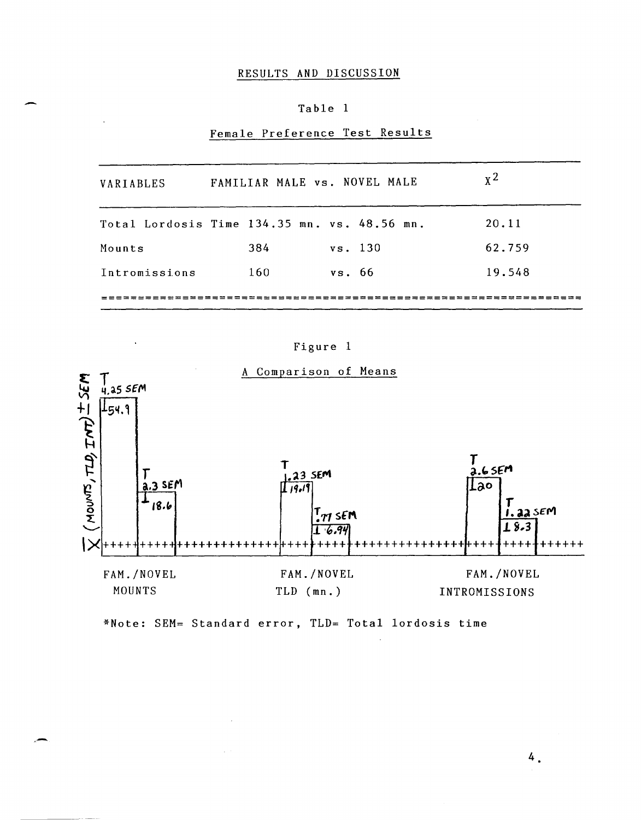# RESULTS AND DISCUSSION

## Table 1

# Female Preference Test Results

| VARIABLES     |     | FAMILIAR MALE vs. NOVEL MALE                 | $x^2$  |
|---------------|-----|----------------------------------------------|--------|
|               |     | Total Lordosis Time 134.35 mn. vs. 48.56 mn. | 20.11  |
| Mounts        | 384 | vs. 130                                      | 62.759 |
| Intromissions | 160 | vs. 66                                       | 19.548 |
|               |     |                                              |        |

# Figure 1



\*Note: SEM= Standard error, TLD= Total lordosis time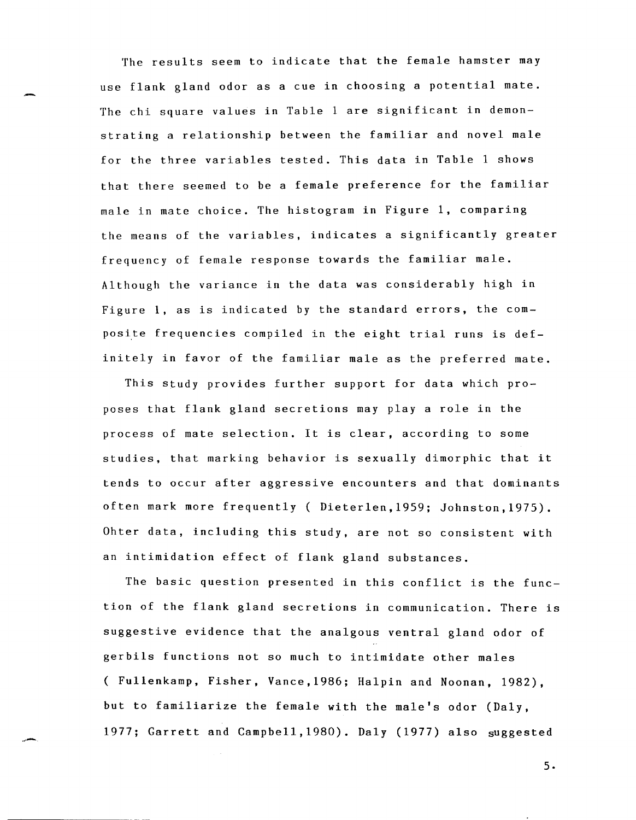The results seem to indicate that the female hamster may use flank gland odor as a cue in choosing a potential mate. The chi square values in Table 1 are significant in demonstrating a relationship between the familiar and novel male for the three variables tested. This data in Table 1 shows that there seemed to be a female preference for the familiar male in mate choice. The histogram in Figure 1, comparing the means of the variables, indicates a significantly greater frequency of female response towards the familiar male. Although the variance in the data was considerably high in Figure **1,** as is indicated by the standard errors, the composite frequencies compiled in the eight trial runs is definitely in favor of the familiar male as the preferred mate.

This study provides further support for data which proposes that flank gland secretions may play a role in the process of mate selection. It is clear, according to some studies, that marking behavior is sexually dimorphic that it tends to occur after aggressive encounters and that dominants often mark more frequently ( Dieterlen,1959; Johnston,1975). Ohter data, including this study, are not so consistent with an intimidation effect of flank gland substances.

The basic question presented in this conflict is the function of the flank gland secretions in communication. There is suggestive evidence that the analgous ventral gland odor of gerbils functions not so much to intimidate other males ( Fullenkamp, Fisher, Vance,1986; Halpin and Noonan, 1982), but to familiarize the female with the male's odor (Daly, 1977; Garrett and Campbell,1980). Daly (1977) also suggested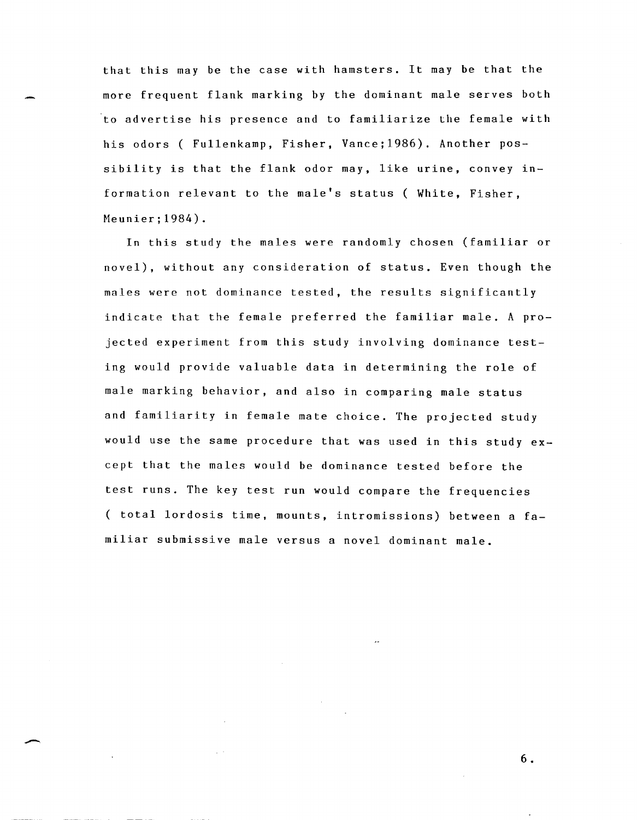that this may be the case with hamsters. It may be that the more frequent flank marking by the dominant male serves both to advertise his presence and to familiarize the female with his odors ( Fullenkamp, Fisher, Vance; 1986). Another possibility is that the flank odor may, like urine, convey information relevant to the male's status ( White, Fisher, Meunier;1984).

In this study the males were randomly chosen (familiar or novel), without any consideration of status. Even though the males were not dominance tested, the results significantly indicate that the female preferred the familiar male. A projected experiment from this study involving dominance testing would provide valuable data in determining the role of male marking behavior, and also in comparing male status and familiarity in female mate choice. The projected study would use the same procedure that was used in this study except that the males would be dominance tested before the test runs. The key test run would compare the frequencies ( total lordosis time, mounts, intromissions) between a familiar submissive male versus a novel dominant male.